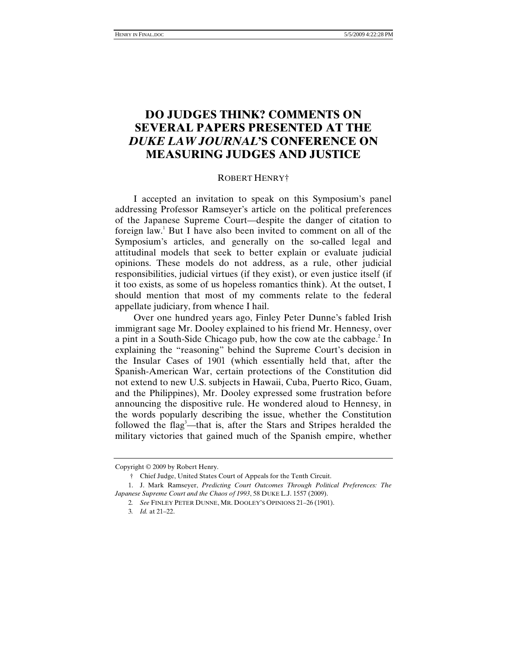# **DO JUDGES THINK? COMMENTS ON SEVERAL PAPERS PRESENTED AT THE**  *DUKE LAW JOURNAL***'S CONFERENCE ON MEASURING JUDGES AND JUSTICE**

# ROBERT HENRY†

I accepted an invitation to speak on this Symposium's panel addressing Professor Ramseyer's article on the political preferences of the Japanese Supreme Court—despite the danger of citation to foreign law.<sup>1</sup> But I have also been invited to comment on all of the Symposium's articles, and generally on the so-called legal and attitudinal models that seek to better explain or evaluate judicial opinions. These models do not address, as a rule, other judicial responsibilities, judicial virtues (if they exist), or even justice itself (if it too exists, as some of us hopeless romantics think). At the outset, I should mention that most of my comments relate to the federal appellate judiciary, from whence I hail.

Over one hundred years ago, Finley Peter Dunne's fabled Irish immigrant sage Mr. Dooley explained to his friend Mr. Hennesy, over a pint in a South-Side Chicago pub, how the cow ate the cabbage.<sup>2</sup> In explaining the "reasoning" behind the Supreme Court's decision in the Insular Cases of 1901 (which essentially held that, after the Spanish-American War, certain protections of the Constitution did not extend to new U.S. subjects in Hawaii, Cuba, Puerto Rico, Guam, and the Philippines), Mr. Dooley expressed some frustration before announcing the dispositive rule. He wondered aloud to Hennesy, in the words popularly describing the issue, whether the Constitution followed the flag<sup>3</sup>—that is, after the Stars and Stripes heralded the military victories that gained much of the Spanish empire, whether

Copyright © 2009 by Robert Henry.

 <sup>†</sup> Chief Judge, United States Court of Appeals for the Tenth Circuit.

 <sup>1.</sup> J. Mark Ramseyer, *Predicting Court Outcomes Through Political Preferences: The Japanese Supreme Court and the Chaos of 1993*, 58 DUKE L.J. 1557 (2009).

<sup>2</sup>*. See* FINLEY PETER DUNNE, MR. DOOLEY'S OPINIONS 21–26 (1901).

<sup>3</sup>*. Id.* at 21–22.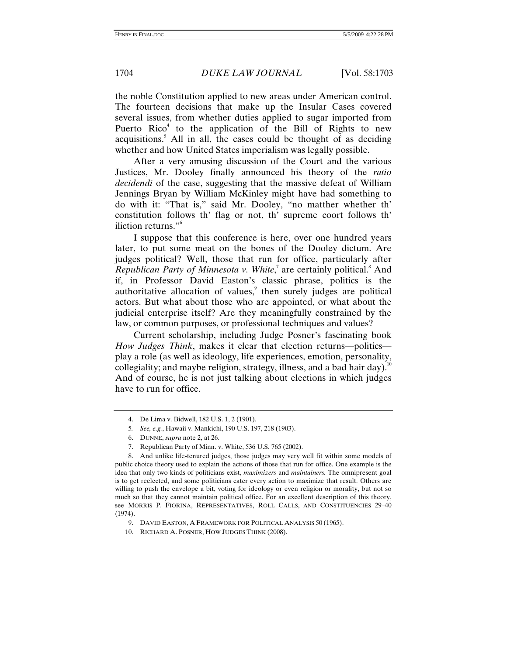the noble Constitution applied to new areas under American control. The fourteen decisions that make up the Insular Cases covered several issues, from whether duties applied to sugar imported from Puerto Rico<sup>4</sup> to the application of the Bill of Rights to new acquisitions.<sup>5</sup> All in all, the cases could be thought of as deciding whether and how United States imperialism was legally possible.

After a very amusing discussion of the Court and the various Justices, Mr. Dooley finally announced his theory of the *ratio decidendi* of the case, suggesting that the massive defeat of William Jennings Bryan by William McKinley might have had something to do with it: "That is," said Mr. Dooley, "no matther whether th' constitution follows th' flag or not, th' supreme coort follows th' iliction returns."<sup>6</sup>

I suppose that this conference is here, over one hundred years later, to put some meat on the bones of the Dooley dictum. Are judges political? Well, those that run for office, particularly after Republican Party of Minnesota v. White,<sup>7</sup> are certainly political.<sup>8</sup> And if, in Professor David Easton's classic phrase, politics is the authoritative allocation of values, $\degree$  then surely judges are political actors. But what about those who are appointed, or what about the judicial enterprise itself? Are they meaningfully constrained by the law, or common purposes, or professional techniques and values?

Current scholarship, including Judge Posner's fascinating book *How Judges Think*, makes it clear that election returns—politics play a role (as well as ideology, life experiences, emotion, personality, collegiality; and maybe religion, strategy, illness, and a bad hair day).<sup>10</sup> And of course, he is not just talking about elections in which judges have to run for office.

 <sup>4.</sup> De Lima v. Bidwell, 182 U.S. 1, 2 (1901).

<sup>5</sup>*. See, e.g.*, Hawaii v. Mankichi, 190 U.S. 197, 218 (1903).

 <sup>6.</sup> DUNNE, *supra* note 2, at 26.

 <sup>7.</sup> Republican Party of Minn. v. White, 536 U.S. 765 (2002).

 <sup>8.</sup> And unlike life-tenured judges, those judges may very well fit within some models of public choice theory used to explain the actions of those that run for office. One example is the idea that only two kinds of politicians exist, *maximizers* and *maintainers.* The omnipresent goal is to get reelected, and some politicians cater every action to maximize that result. Others are willing to push the envelope a bit, voting for ideology or even religion or morality, but not so much so that they cannot maintain political office. For an excellent description of this theory, see MORRIS P. FIORINA, REPRESENTATIVES, ROLL CALLS, AND CONSTITUENCIES 29–40 (1974).

 <sup>9.</sup> DAVID EASTON, A FRAMEWORK FOR POLITICAL ANALYSIS 50 (1965).

 <sup>10.</sup> RICHARD A. POSNER, HOW JUDGES THINK (2008).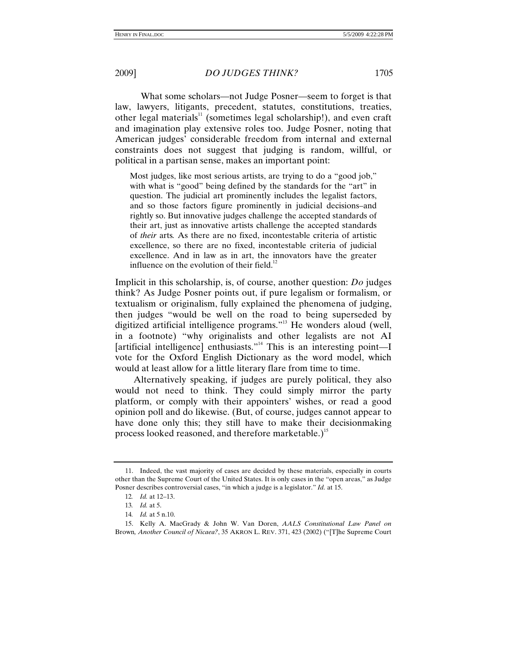What some scholars—not Judge Posner—seem to forget is that law, lawyers, litigants, precedent, statutes, constitutions, treaties, other legal materials<sup>11</sup> (sometimes legal scholarship!), and even craft and imagination play extensive roles too. Judge Posner, noting that American judges' considerable freedom from internal and external constraints does not suggest that judging is random, willful, or political in a partisan sense, makes an important point:

Most judges, like most serious artists, are trying to do a "good job," with what is "good" being defined by the standards for the "art" in question. The judicial art prominently includes the legalist factors, and so those factors figure prominently in judicial decisions–and rightly so. But innovative judges challenge the accepted standards of their art, just as innovative artists challenge the accepted standards of *their* arts*.* As there are no fixed, incontestable criteria of artistic excellence, so there are no fixed, incontestable criteria of judicial excellence. And in law as in art, the innovators have the greater influence on the evolution of their field.<sup>12</sup>

Implicit in this scholarship, is, of course, another question: *Do* judges think? As Judge Posner points out, if pure legalism or formalism, or textualism or originalism, fully explained the phenomena of judging, then judges "would be well on the road to being superseded by digitized artificial intelligence programs."13 He wonders aloud (well, in a footnote) "why originalists and other legalists are not AI [artificial intelligence] enthusiasts."<sup>14</sup> This is an interesting point—I vote for the Oxford English Dictionary as the word model, which would at least allow for a little literary flare from time to time.

Alternatively speaking, if judges are purely political, they also would not need to think. They could simply mirror the party platform, or comply with their appointers' wishes, or read a good opinion poll and do likewise. (But, of course, judges cannot appear to have done only this; they still have to make their decisionmaking process looked reasoned, and therefore marketable.)<sup>15</sup>

 <sup>11.</sup> Indeed, the vast majority of cases are decided by these materials, especially in courts other than the Supreme Court of the United States. It is only cases in the "open areas," as Judge Posner describes controversial cases, "in which a judge is a legislator." *Id.* at 15.

<sup>12</sup>*. Id.* at 12–13.

<sup>13</sup>*. Id.* at 5.

<sup>14</sup>*. Id.* at 5 n.10.

 <sup>15.</sup> Kelly A. MacGrady & John W. Van Doren, *AALS Constitutional Law Panel on*  Brown*, Another Council of Nicaea?*, 35 AKRON L. REV. 371, 423 (2002) ("[T]he Supreme Court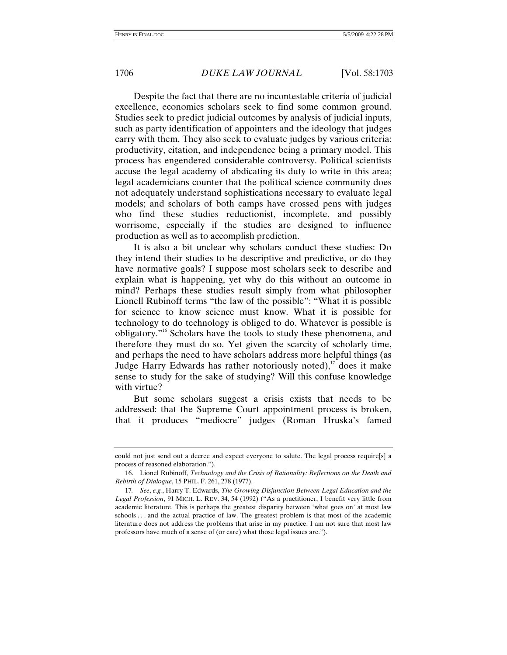Despite the fact that there are no incontestable criteria of judicial excellence, economics scholars seek to find some common ground. Studies seek to predict judicial outcomes by analysis of judicial inputs, such as party identification of appointers and the ideology that judges carry with them. They also seek to evaluate judges by various criteria: productivity, citation, and independence being a primary model. This process has engendered considerable controversy. Political scientists accuse the legal academy of abdicating its duty to write in this area; legal academicians counter that the political science community does not adequately understand sophistications necessary to evaluate legal models; and scholars of both camps have crossed pens with judges who find these studies reductionist, incomplete, and possibly worrisome, especially if the studies are designed to influence production as well as to accomplish prediction.

It is also a bit unclear why scholars conduct these studies: Do they intend their studies to be descriptive and predictive, or do they have normative goals? I suppose most scholars seek to describe and explain what is happening, yet why do this without an outcome in mind? Perhaps these studies result simply from what philosopher Lionell Rubinoff terms "the law of the possible": "What it is possible for science to know science must know. What it is possible for technology to do technology is obliged to do. Whatever is possible is obligatory."16 Scholars have the tools to study these phenomena, and therefore they must do so. Yet given the scarcity of scholarly time, and perhaps the need to have scholars address more helpful things (as Judge Harry Edwards has rather notoriously noted), $17$  does it make sense to study for the sake of studying? Will this confuse knowledge with virtue?

But some scholars suggest a crisis exists that needs to be addressed: that the Supreme Court appointment process is broken, that it produces "mediocre" judges (Roman Hruska's famed

could not just send out a decree and expect everyone to salute. The legal process require[s] a process of reasoned elaboration.").

 <sup>16.</sup> Lionel Rubinoff, *Technology and the Crisis of Rationality: Reflections on the Death and Rebirth of Dialogue*, 15 PHIL. F. 261, 278 (1977).

<sup>17</sup>*. See*, *e.g.*, Harry T. Edwards, *The Growing Disjunction Between Legal Education and the Legal Profession*, 91 MICH. L. REV. 34, 54 (1992) ("As a practitioner, I benefit very little from academic literature. This is perhaps the greatest disparity between 'what goes on' at most law schools . . . and the actual practice of law. The greatest problem is that most of the academic literature does not address the problems that arise in my practice. I am not sure that most law professors have much of a sense of (or care) what those legal issues are.").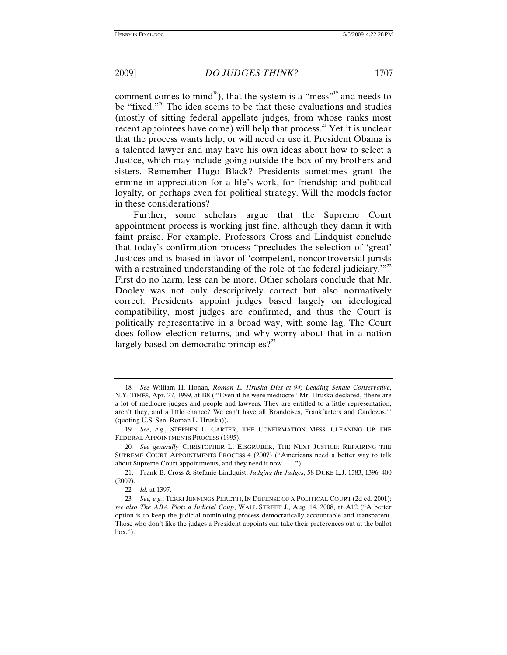comment comes to mind<sup>18</sup>), that the system is a "mess"<sup>19</sup> and needs to be "fixed."<sup>20</sup> The idea seems to be that these evaluations and studies (mostly of sitting federal appellate judges, from whose ranks most recent appointees have come) will help that process.<sup>21</sup> Yet it is unclear that the process wants help, or will need or use it. President Obama is a talented lawyer and may have his own ideas about how to select a Justice, which may include going outside the box of my brothers and

sisters. Remember Hugo Black? Presidents sometimes grant the ermine in appreciation for a life's work, for friendship and political loyalty, or perhaps even for political strategy. Will the models factor in these considerations?

Further, some scholars argue that the Supreme Court appointment process is working just fine, although they damn it with faint praise. For example, Professors Cross and Lindquist conclude that today's confirmation process "precludes the selection of 'great' Justices and is biased in favor of 'competent, noncontroversial jurists with a restrained understanding of the role of the federal judiciary. $"''^2$ First do no harm, less can be more. Other scholars conclude that Mr. Dooley was not only descriptively correct but also normatively correct: Presidents appoint judges based largely on ideological compatibility, most judges are confirmed, and thus the Court is politically representative in a broad way, with some lag. The Court does follow election returns, and why worry about that in a nation largely based on democratic principles?<sup>23</sup>

<sup>18</sup>*. See* William H. Honan, *Roman L. Hruska Dies at 94; Leading Senate Conservative*, N.Y. TIMES, Apr. 27, 1999, at B8 ("'Even if he were mediocre,' Mr. Hruska declared, 'there are a lot of mediocre judges and people and lawyers. They are entitled to a little representation, aren't they, and a little chance? We can't have all Brandeises, Frankfurters and Cardozos.'" (quoting U.S. Sen. Roman L. Hruska)).

<sup>19</sup>*. See*, *e.g.*, STEPHEN L. CARTER, THE CONFIRMATION MESS: CLEANING UP THE FEDERAL APPOINTMENTS PROCESS (1995).

<sup>20</sup>*. See generally* CHRISTOPHER L. EISGRUBER, THE NEXT JUSTICE: REPAIRING THE SUPREME COURT APPOINTMENTS PROCESS 4 (2007) ("Americans need a better way to talk about Supreme Court appointments, and they need it now . . . .").

 <sup>21.</sup> Frank B. Cross & Stefanie Lindquist, *Judging the Judges*, 58 DUKE L.J. 1383, 1396–400 (2009).

<sup>22</sup>*. Id.* at 1397.

<sup>23</sup>*. See, e.g.*, TERRI JENNINGS PERETTI, IN DEFENSE OF A POLITICAL COURT (2d ed. 2001); *see also The ABA Plots a Judicial Coup*, WALL STREET J., Aug. 14, 2008, at A12 ("A better option is to keep the judicial nominating process democratically accountable and transparent. Those who don't like the judges a President appoints can take their preferences out at the ballot box.").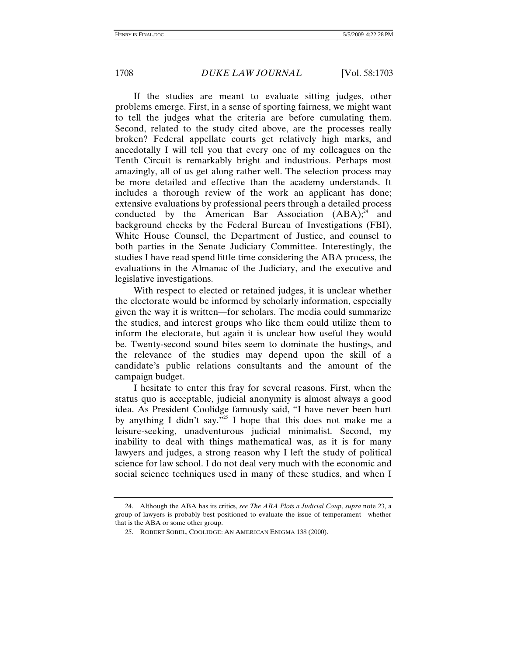If the studies are meant to evaluate sitting judges, other problems emerge. First, in a sense of sporting fairness, we might want to tell the judges what the criteria are before cumulating them. Second, related to the study cited above, are the processes really broken? Federal appellate courts get relatively high marks, and anecdotally I will tell you that every one of my colleagues on the Tenth Circuit is remarkably bright and industrious. Perhaps most amazingly, all of us get along rather well. The selection process may be more detailed and effective than the academy understands. It includes a thorough review of the work an applicant has done; extensive evaluations by professional peers through a detailed process conducted by the American Bar Association  $(ABA)^{24}$  and background checks by the Federal Bureau of Investigations (FBI), White House Counsel, the Department of Justice, and counsel to both parties in the Senate Judiciary Committee. Interestingly, the studies I have read spend little time considering the ABA process, the evaluations in the Almanac of the Judiciary, and the executive and legislative investigations.

With respect to elected or retained judges, it is unclear whether the electorate would be informed by scholarly information, especially given the way it is written—for scholars. The media could summarize the studies, and interest groups who like them could utilize them to inform the electorate, but again it is unclear how useful they would be. Twenty-second sound bites seem to dominate the hustings, and the relevance of the studies may depend upon the skill of a candidate's public relations consultants and the amount of the campaign budget.

I hesitate to enter this fray for several reasons. First, when the status quo is acceptable, judicial anonymity is almost always a good idea. As President Coolidge famously said, "I have never been hurt by anything I didn't say. $\frac{1}{25}$  I hope that this does not make me a leisure-seeking, unadventurous judicial minimalist. Second, my inability to deal with things mathematical was, as it is for many lawyers and judges, a strong reason why I left the study of political science for law school. I do not deal very much with the economic and social science techniques used in many of these studies, and when I

 <sup>24.</sup> Although the ABA has its critics, *see The ABA Plots a Judicial Coup*, *supra* note 23, a group of lawyers is probably best positioned to evaluate the issue of temperament—whether that is the ABA or some other group.

 <sup>25.</sup> ROBERT SOBEL, COOLIDGE: AN AMERICAN ENIGMA 138 (2000).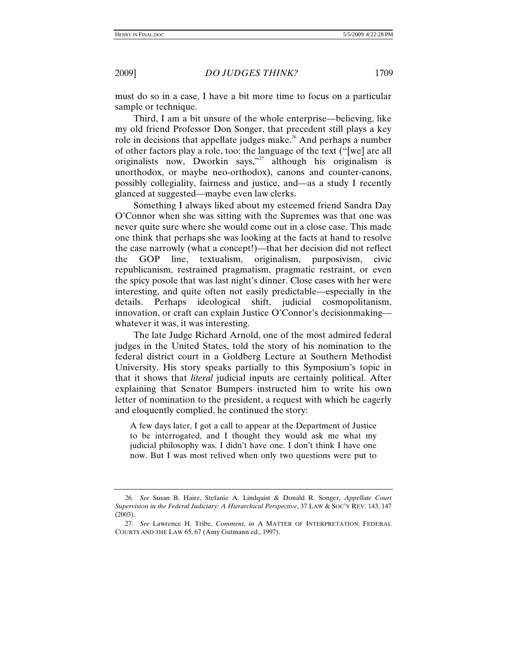must do so in a case, I have a bit more time to focus on a particular sample or technique.

Third, I am a bit unsure of the whole enterprise—believing, like my old friend Professor Don Songer, that precedent still plays a key role in decisions that appellate judges make.<sup>26</sup> And perhaps a number of other factors play a role, too: the language of the text ("[we] are all originalists now, Dworkin says,"<sup>27</sup> although his originalism is unorthodox, or maybe neo-orthodox), canons and counter-canons, possibly collegiality, fairness and justice, and—as a study I recently glanced at suggested—maybe even law clerks.

Something I always liked about my esteemed friend Sandra Day O'Connor when she was sitting with the Supremes was that one was never quite sure where she would come out in a close case. This made one think that perhaps she was looking at the facts at hand to resolve the case narrowly (what a concept!)—that her decision did not reflect the GOP line, textualism, originalism, purposivism, civic republicanism, restrained pragmatism, pragmatic restraint, or even the spicy posole that was last night's dinner. Close cases with her were interesting, and quite often not easily predictable—especially in the details. Perhaps ideological shift, judicial cosmopolitanism, innovation, or craft can explain Justice O'Connor's decisionmaking whatever it was, it was interesting.

The late Judge Richard Arnold, one of the most admired federal judges in the United States, told the story of his nomination to the federal district court in a Goldberg Lecture at Southern Methodist University. His story speaks partially to this Symposium's topic in that it shows that *literal* judicial inputs are certainly political. After explaining that Senator Bumpers instructed him to write his own letter of nomination to the president, a request with which he eagerly and eloquently complied, he continued the story:

A few days later, I got a call to appear at the Department of Justice to be interrogated, and I thought they would ask me what my judicial philosophy was. I didn't have one. I don't think I have one now. But I was most relived when only two questions were put to

<sup>26</sup>*. See* Susan B. Haire, Stefanie A. Lindquist & Donald R. Songer, *Appellate Court Supervision in the Federal Judiciary: A Hierarchical Perspective*, 37 LAW & SOC'Y REV. 143, 147 (2003).

<sup>27</sup>*. See* Lawrence H. Tribe, *Comment*, *in* A MATTER OF INTERPRETATION: FEDERAL COURTS AND THE LAW 65, 67 (Amy Gutmann ed., 1997).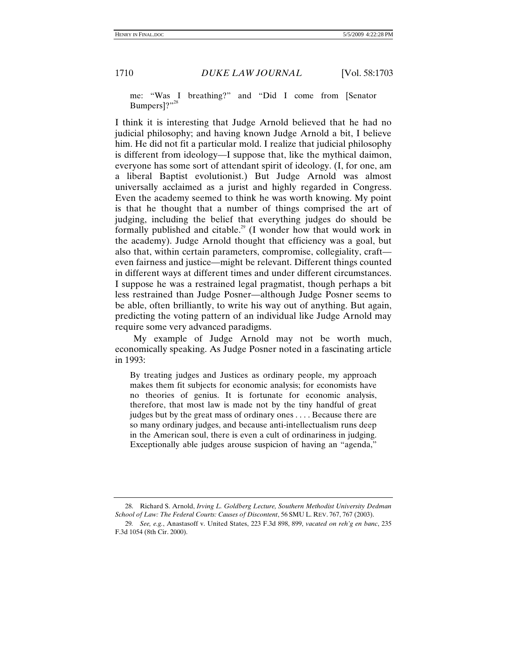me: "Was I breathing?" and "Did I come from [Senator Bumpers]?"<sup>28</sup>

I think it is interesting that Judge Arnold believed that he had no judicial philosophy; and having known Judge Arnold a bit, I believe him. He did not fit a particular mold. I realize that judicial philosophy is different from ideology—I suppose that, like the mythical daimon, everyone has some sort of attendant spirit of ideology. (I, for one, am a liberal Baptist evolutionist.) But Judge Arnold was almost universally acclaimed as a jurist and highly regarded in Congress. Even the academy seemed to think he was worth knowing. My point is that he thought that a number of things comprised the art of judging, including the belief that everything judges do should be formally published and citable.<sup>29</sup> (I wonder how that would work in the academy). Judge Arnold thought that efficiency was a goal, but also that, within certain parameters, compromise, collegiality, craft even fairness and justice—might be relevant. Different things counted in different ways at different times and under different circumstances. I suppose he was a restrained legal pragmatist, though perhaps a bit less restrained than Judge Posner—although Judge Posner seems to be able, often brilliantly, to write his way out of anything. But again, predicting the voting pattern of an individual like Judge Arnold may require some very advanced paradigms.

My example of Judge Arnold may not be worth much, economically speaking. As Judge Posner noted in a fascinating article in 1993:

By treating judges and Justices as ordinary people, my approach makes them fit subjects for economic analysis; for economists have no theories of genius. It is fortunate for economic analysis, therefore, that most law is made not by the tiny handful of great judges but by the great mass of ordinary ones . . . . Because there are so many ordinary judges, and because anti-intellectualism runs deep in the American soul, there is even a cult of ordinariness in judging. Exceptionally able judges arouse suspicion of having an "agenda,"

 <sup>28.</sup> Richard S. Arnold, *Irving L. Goldberg Lecture, Southern Methodist University Dedman School of Law: The Federal Courts: Causes of Discontent*, 56 SMU L. REV. 767, 767 (2003).

<sup>29</sup>*. See, e.g.*, Anastasoff v. United States, 223 F.3d 898, 899, *vacated on reh'g en banc*, 235 F.3d 1054 (8th Cir. 2000).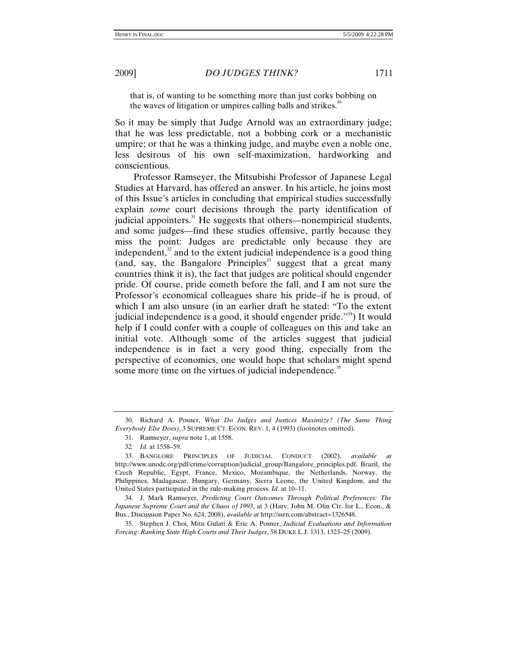that is, of wanting to be something more than just corks bobbing on the waves of litigation or umpires calling balls and strikes.<sup>30</sup>

So it may be simply that Judge Arnold was an extraordinary judge; that he was less predictable, not a bobbing cork or a mechanistic umpire; or that he was a thinking judge, and maybe even a noble one, less desirous of his own self-maximization, hardworking and conscientious.

Professor Ramseyer, the Mitsubishi Professor of Japanese Legal Studies at Harvard, has offered an answer. In his article, he joins most of this Issue's articles in concluding that empirical studies successfully explain *some* court decisions through the party identification of judicial appointers.<sup>31</sup> He suggests that others—nonempirical students, and some judges—find these studies offensive, partly because they miss the point: Judges are predictable only because they are independent, $32$  and to the extent judicial independence is a good thing (and, say, the Bangalore Principles<sup>33</sup> suggest that a great many countries think it is), the fact that judges are political should engender pride. Of course, pride cometh before the fall, and I am not sure the Professor's economical colleagues share his pride–if he is proud, of which I am also unsure (in an earlier draft he stated: "To the extent judicial independence is a good, it should engender pride. $\mathbb{R}^{34}$ ) It would help if I could confer with a couple of colleagues on this and take an initial vote. Although some of the articles suggest that judicial independence is in fact a very good thing, especially from the perspective of economics, one would hope that scholars might spend some more time on the virtues of judicial independence.<sup>35</sup>

 <sup>30.</sup> Richard A. Posner, *What Do Judges and Justices Maximize? (The Same Thing Everybody Else Does)*, 3 SUPREME CT. ECON. REV. 1, 4 (1993) (footnotes omitted).

 <sup>31.</sup> Ramseyer, *supra* note 1, at 1558.

<sup>32</sup>*. Id.* at 1558–59.

 <sup>33.</sup> BANGLORE PRINCIPLES OF JUDICIAL CONDUCT (2002), *available at*  http*://*www.unodc.org/pdf/crime/corruption/judicial\_group/Bangalore\_principles.pdf. Brazil, the Czech Republic, Egypt, France, Mexico, Mozambique, the Netherlands, Norway, the Philippines, Madagascar, Hungary, Germany, Sierra Leone, the United Kingdom, and the United States participated in the rule-making process. *Id.* at 10–11.

 <sup>34.</sup> J. Mark Ramseyer, *Predicting Court Outcomes Through Political Preferences: The Japanese Supreme Court and the Chaos of 1993*, at 3 (Harv. John M. Olin Ctr. for L., Econ., & Bus., Discussion Paper No. 624, 2008), *available at* http://ssrn.com/abstract=1326548.

 <sup>35.</sup> Stephen J. Choi, Mitu Gulati & Eric A. Posner, *Judicial Evaluations and Information Forcing: Ranking State High Courts and Their Judges*, 58 DUKE L.J. 1313, 1323–25 (2009).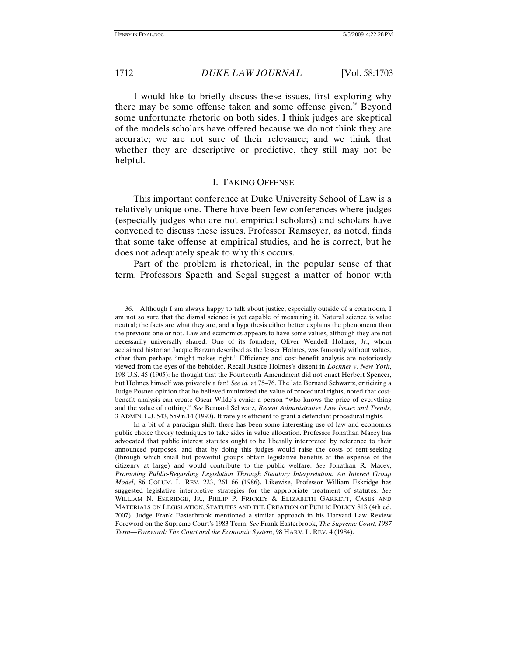I would like to briefly discuss these issues, first exploring why there may be some offense taken and some offense given.<sup>36</sup> Beyond some unfortunate rhetoric on both sides, I think judges are skeptical of the models scholars have offered because we do not think they are accurate; we are not sure of their relevance; and we think that whether they are descriptive or predictive, they still may not be helpful.

#### I. TAKING OFFENSE

This important conference at Duke University School of Law is a relatively unique one. There have been few conferences where judges (especially judges who are not empirical scholars) and scholars have convened to discuss these issues. Professor Ramseyer, as noted, finds that some take offense at empirical studies, and he is correct, but he does not adequately speak to why this occurs.

Part of the problem is rhetorical, in the popular sense of that term. Professors Spaeth and Segal suggest a matter of honor with

 <sup>36.</sup> Although I am always happy to talk about justice, especially outside of a courtroom, I am not so sure that the dismal science is yet capable of measuring it. Natural science is value neutral; the facts are what they are, and a hypothesis either better explains the phenomena than the previous one or not. Law and economics appears to have some values, although they are not necessarily universally shared. One of its founders, Oliver Wendell Holmes, Jr., whom acclaimed historian Jacque Barzun described as the lesser Holmes, was famously without values, other than perhaps "might makes right." Efficiency and cost-benefit analysis are notoriously viewed from the eyes of the beholder. Recall Justice Holmes's dissent in *Lochner v. New York*, 198 U.S. 45 (1905): he thought that the Fourteenth Amendment did not enact Herbert Spencer, but Holmes himself was privately a fan! *See id.* at 75–76. The late Bernard Schwartz, criticizing a Judge Posner opinion that he believed minimized the value of procedural rights, noted that costbenefit analysis can create Oscar Wilde's cynic: a person "who knows the price of everything and the value of nothing." *See* Bernard Schwarz, *Recent Administrative Law Issues and Trends*, 3 ADMIN. L.J. 543, 559 n.14 (1990). It rarely is efficient to grant a defendant procedural rights.

In a bit of a paradigm shift, there has been some interesting use of law and economics public choice theory techniques to take sides in value allocation. Professor Jonathan Macey has advocated that public interest statutes ought to be liberally interpreted by reference to their announced purposes, and that by doing this judges would raise the costs of rent-seeking (through which small but powerful groups obtain legislative benefits at the expense of the citizenry at large) and would contribute to the public welfare. *See* Jonathan R. Macey, *Promoting Public-Regarding Legislation Through Statutory Interpretation: An Interest Group Model*, 86 COLUM. L. REV. 223, 261–66 (1986). Likewise, Professor William Eskridge has suggested legislative interpretive strategies for the appropriate treatment of statutes. *See* WILLIAM N. ESKRIDGE, JR., PHILIP P. FRICKEY & ELIZABETH GARRETT, CASES AND MATERIALS ON LEGISLATION, STATUTES AND THE CREATION OF PUBLIC POLICY 813 (4th ed. 2007). Judge Frank Easterbrook mentioned a similar approach in his Harvard Law Review Foreword on the Supreme Court's 1983 Term. *See* Frank Easterbrook, *The Supreme Court, 1987 Term—Foreword: The Court and the Economic System*, 98 HARV. L. REV. 4 (1984).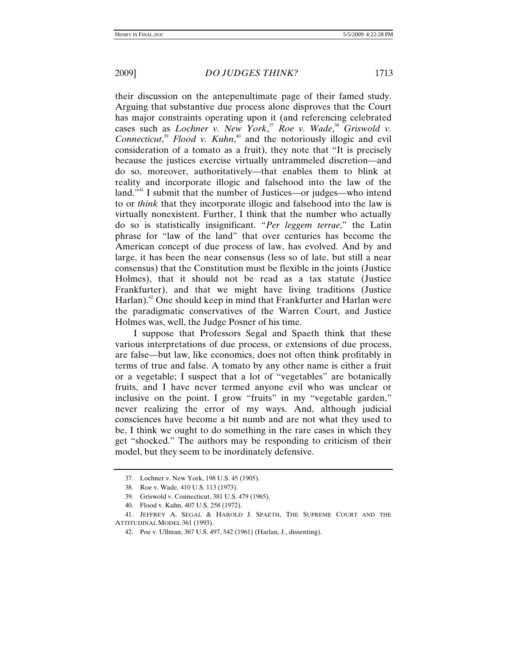their discussion on the antepenultimate page of their famed study. Arguing that substantive due process alone disproves that the Court has major constraints operating upon it (and referencing celebrated cases such as *Lochner v. New York*,<sup>37</sup> *Roe v. Wade*,<sup>38</sup> *Griswold v. Connecticut*, <sup>39</sup> *Flood v. Kuhn*, 40 and the notoriously illogic and evil consideration of a tomato as a fruit), they note that "It is precisely because the justices exercise virtually untrammeled discretion—and do so, moreover, authoritatively—that enables them to blink at reality and incorporate illogic and falsehood into the law of the land."<sup>41</sup> I submit that the number of Justices—or judges—who intend to or *think* that they incorporate illogic and falsehood into the law is virtually nonexistent. Further, I think that the number who actually do so is statistically insignificant. "*Per leggem terrae*," the Latin phrase for "law of the land" that over centuries has become the American concept of due process of law, has evolved. And by and large, it has been the near consensus (less so of late, but still a near consensus) that the Constitution must be flexible in the joints (Justice Holmes), that it should not be read as a tax statute (Justice Frankfurter), and that we might have living traditions (Justice Harlan).<sup>42</sup> One should keep in mind that Frankfurter and Harlan were the paradigmatic conservatives of the Warren Court, and Justice Holmes was, well, the Judge Posner of his time.

I suppose that Professors Segal and Spaeth think that these various interpretations of due process, or extensions of due process, are false—but law, like economics, does not often think profitably in terms of true and false. A tomato by any other name is either a fruit or a vegetable; I suspect that a lot of "vegetables" are botanically fruits, and I have never termed anyone evil who was unclear or inclusive on the point. I grow "fruits" in my "vegetable garden," never realizing the error of my ways. And, although judicial consciences have become a bit numb and are not what they used to be, I think we ought to do something in the rare cases in which they get "shocked." The authors may be responding to criticism of their model, but they seem to be inordinately defensive.

 <sup>37.</sup> Lochner v. New York, 198 U.S. 45 (1905).

 <sup>38.</sup> Roe v. Wade, 410 U.S. 113 (1973).

 <sup>39.</sup> Griswold v. Connecticut, 381 U.S. 479 (1965).

 <sup>40.</sup> Flood v. Kuhn, 407 U.S. 258 (1972).

 <sup>41.</sup> JEFFREY A. SEGAL & HAROLD J. SPAETH, THE SUPREME COURT AND THE ATTITUDINAL MODEL 361 (1993).

 <sup>42.</sup> Poe v. Ullman, 367 U.S. 497, 542 (1961) (Harlan, J., dissenting).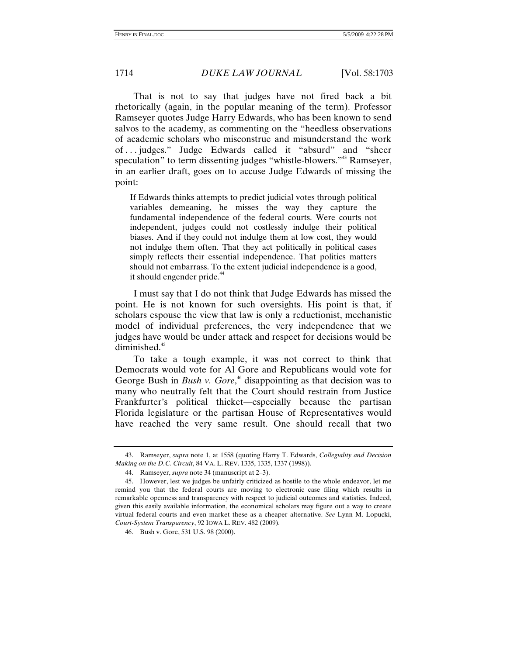That is not to say that judges have not fired back a bit rhetorically (again, in the popular meaning of the term). Professor Ramseyer quotes Judge Harry Edwards, who has been known to send salvos to the academy, as commenting on the "heedless observations of academic scholars who misconstrue and misunderstand the work of . . . judges." Judge Edwards called it "absurd" and "sheer speculation" to term dissenting judges "whistle-blowers."<sup>43</sup> Ramseyer, in an earlier draft, goes on to accuse Judge Edwards of missing the point:

If Edwards thinks attempts to predict judicial votes through political variables demeaning, he misses the way they capture the fundamental independence of the federal courts. Were courts not independent, judges could not costlessly indulge their political biases. And if they could not indulge them at low cost, they would not indulge them often. That they act politically in political cases simply reflects their essential independence. That politics matters should not embarrass. To the extent judicial independence is a good, it should engender pride.<sup>44</sup>

I must say that I do not think that Judge Edwards has missed the point. He is not known for such oversights. His point is that, if scholars espouse the view that law is only a reductionist, mechanistic model of individual preferences, the very independence that we judges have would be under attack and respect for decisions would be diminished. $45$ 

To take a tough example, it was not correct to think that Democrats would vote for Al Gore and Republicans would vote for George Bush in *Bush v. Gore*,<sup>46</sup> disappointing as that decision was to many who neutrally felt that the Court should restrain from Justice Frankfurter's political thicket—especially because the partisan Florida legislature or the partisan House of Representatives would have reached the very same result. One should recall that two

 <sup>43.</sup> Ramseyer, *supra* note 1, at 1558 (quoting Harry T. Edwards, *Collegiality and Decision Making on the D.C. Circuit*, 84 VA. L. REV. 1335, 1335, 1337 (1998)).

 <sup>44.</sup> Ramseyer, *supra* note 34 (manuscript at 2–3).

 <sup>45.</sup> However, lest we judges be unfairly criticized as hostile to the whole endeavor, let me remind you that the federal courts are moving to electronic case filing which results in remarkable openness and transparency with respect to judicial outcomes and statistics. Indeed, given this easily available information, the economical scholars may figure out a way to create virtual federal courts and even market these as a cheaper alternative. *See* Lynn M. Lopucki, *Court-System Transparency*, 92 IOWA L. REV. 482 (2009).

 <sup>46.</sup> Bush v. Gore, 531 U.S. 98 (2000).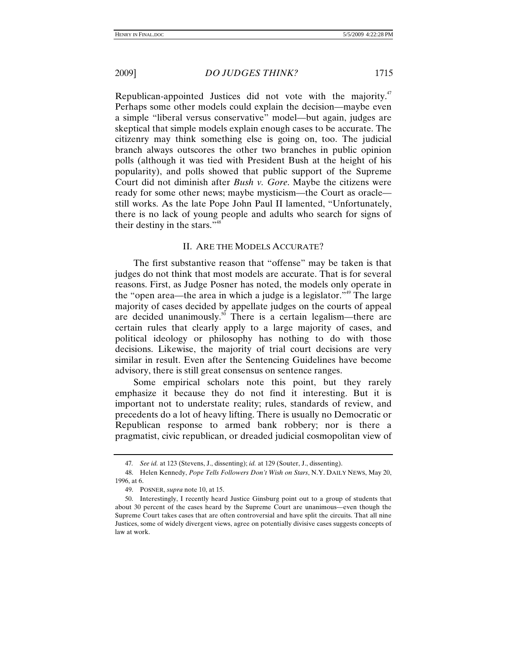Republican-appointed Justices did not vote with the majority. $47$ Perhaps some other models could explain the decision—maybe even a simple "liberal versus conservative" model—but again, judges are skeptical that simple models explain enough cases to be accurate. The citizenry may think something else is going on, too. The judicial branch always outscores the other two branches in public opinion polls (although it was tied with President Bush at the height of his popularity), and polls showed that public support of the Supreme Court did not diminish after *Bush v. Gore*. Maybe the citizens were ready for some other news; maybe mysticism—the Court as oracle still works. As the late Pope John Paul II lamented, "Unfortunately, there is no lack of young people and adults who search for signs of their destiny in the stars."<sup>48</sup>

# II. ARE THE MODELS ACCURATE?

The first substantive reason that "offense" may be taken is that judges do not think that most models are accurate. That is for several reasons. First, as Judge Posner has noted, the models only operate in the "open area—the area in which a judge is a legislator."<sup>49</sup> The large majority of cases decided by appellate judges on the courts of appeal are decided unanimously.<sup>50</sup> There is a certain legalism—there are certain rules that clearly apply to a large majority of cases, and political ideology or philosophy has nothing to do with those decisions. Likewise, the majority of trial court decisions are very similar in result. Even after the Sentencing Guidelines have become advisory, there is still great consensus on sentence ranges.

Some empirical scholars note this point, but they rarely emphasize it because they do not find it interesting. But it is important not to understate reality; rules, standards of review, and precedents do a lot of heavy lifting. There is usually no Democratic or Republican response to armed bank robbery; nor is there a pragmatist, civic republican, or dreaded judicial cosmopolitan view of

<sup>47</sup>*. See id.* at 123 (Stevens, J., dissenting); *id.* at 129 (Souter, J., dissenting).

 <sup>48.</sup> Helen Kennedy, *Pope Tells Followers Don't Wish on Stars*, N.Y. DAILY NEWS, May 20, 1996, at 6.

 <sup>49.</sup> POSNER, *supra* note 10, at 15.

 <sup>50.</sup> Interestingly, I recently heard Justice Ginsburg point out to a group of students that about 30 percent of the cases heard by the Supreme Court are unanimous—even though the Supreme Court takes cases that are often controversial and have split the circuits. That all nine Justices, some of widely divergent views, agree on potentially divisive cases suggests concepts of law at work.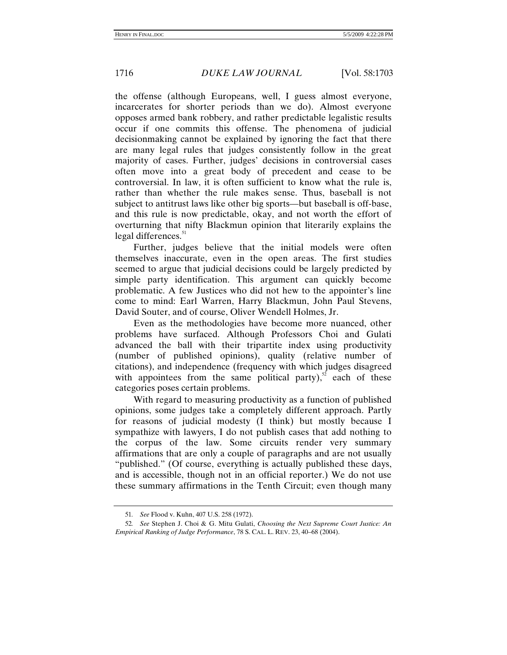the offense (although Europeans, well, I guess almost everyone, incarcerates for shorter periods than we do). Almost everyone opposes armed bank robbery, and rather predictable legalistic results occur if one commits this offense. The phenomena of judicial decisionmaking cannot be explained by ignoring the fact that there are many legal rules that judges consistently follow in the great majority of cases. Further, judges' decisions in controversial cases often move into a great body of precedent and cease to be controversial. In law, it is often sufficient to know what the rule is, rather than whether the rule makes sense. Thus, baseball is not subject to antitrust laws like other big sports—but baseball is off-base, and this rule is now predictable, okay, and not worth the effort of overturning that nifty Blackmun opinion that literarily explains the legal differences. $51$ 

Further, judges believe that the initial models were often themselves inaccurate, even in the open areas. The first studies seemed to argue that judicial decisions could be largely predicted by simple party identification. This argument can quickly become problematic. A few Justices who did not hew to the appointer's line come to mind: Earl Warren, Harry Blackmun, John Paul Stevens, David Souter, and of course, Oliver Wendell Holmes, Jr.

Even as the methodologies have become more nuanced, other problems have surfaced. Although Professors Choi and Gulati advanced the ball with their tripartite index using productivity (number of published opinions), quality (relative number of citations), and independence (frequency with which judges disagreed with appointees from the same political party), $52$  each of these categories poses certain problems.

With regard to measuring productivity as a function of published opinions, some judges take a completely different approach. Partly for reasons of judicial modesty (I think) but mostly because I sympathize with lawyers, I do not publish cases that add nothing to the corpus of the law. Some circuits render very summary affirmations that are only a couple of paragraphs and are not usually "published." (Of course, everything is actually published these days, and is accessible, though not in an official reporter.) We do not use these summary affirmations in the Tenth Circuit; even though many

<sup>51</sup>*. See* Flood v. Kuhn, 407 U.S. 258 (1972).

<sup>52</sup>*. See* Stephen J. Choi & G. Mitu Gulati, *Choosing the Next Supreme Court Justice: An Empirical Ranking of Judge Performance*, 78 S. CAL. L. REV. 23, 40–68 (2004).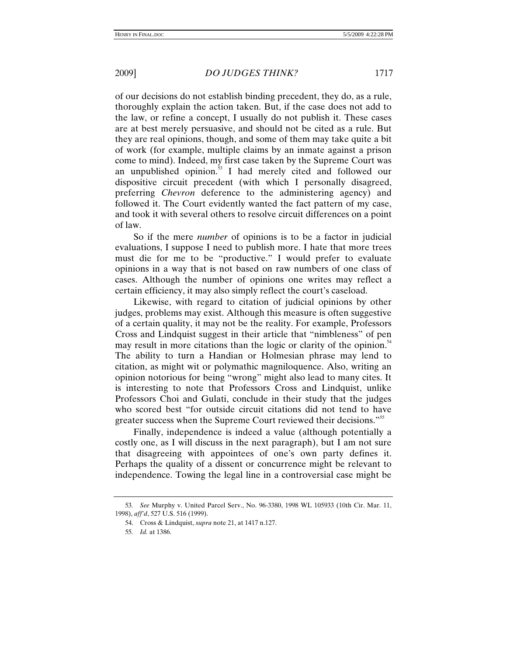of our decisions do not establish binding precedent, they do, as a rule, thoroughly explain the action taken. But, if the case does not add to the law, or refine a concept, I usually do not publish it. These cases are at best merely persuasive, and should not be cited as a rule. But they are real opinions, though, and some of them may take quite a bit of work (for example, multiple claims by an inmate against a prison come to mind). Indeed, my first case taken by the Supreme Court was an unpublished opinion.<sup>53</sup> I had merely cited and followed our dispositive circuit precedent (with which I personally disagreed, preferring *Chevron* deference to the administering agency) and followed it. The Court evidently wanted the fact pattern of my case, and took it with several others to resolve circuit differences on a point of law.

So if the mere *number* of opinions is to be a factor in judicial evaluations, I suppose I need to publish more. I hate that more trees must die for me to be "productive." I would prefer to evaluate opinions in a way that is not based on raw numbers of one class of cases. Although the number of opinions one writes may reflect a certain efficiency, it may also simply reflect the court's caseload.

Likewise, with regard to citation of judicial opinions by other judges, problems may exist. Although this measure is often suggestive of a certain quality, it may not be the reality. For example, Professors Cross and Lindquist suggest in their article that "nimbleness" of pen may result in more citations than the logic or clarity of the opinion.<sup>54</sup> The ability to turn a Handian or Holmesian phrase may lend to citation, as might wit or polymathic magniloquence. Also, writing an opinion notorious for being "wrong" might also lead to many cites. It is interesting to note that Professors Cross and Lindquist, unlike Professors Choi and Gulati, conclude in their study that the judges who scored best "for outside circuit citations did not tend to have greater success when the Supreme Court reviewed their decisions."<sup>55</sup>

Finally, independence is indeed a value (although potentially a costly one, as I will discuss in the next paragraph), but I am not sure that disagreeing with appointees of one's own party defines it. Perhaps the quality of a dissent or concurrence might be relevant to independence. Towing the legal line in a controversial case might be

<sup>53</sup>*. See* Murphy v. United Parcel Serv., No. 96-3380, 1998 WL 105933 (10th Cir. Mar. 11, 1998), *aff'd*, 527 U.S. 516 (1999).

 <sup>54.</sup> Cross & Lindquist, *supra* note 21, at 1417 n.127.

<sup>55</sup>*. Id.* at 1386.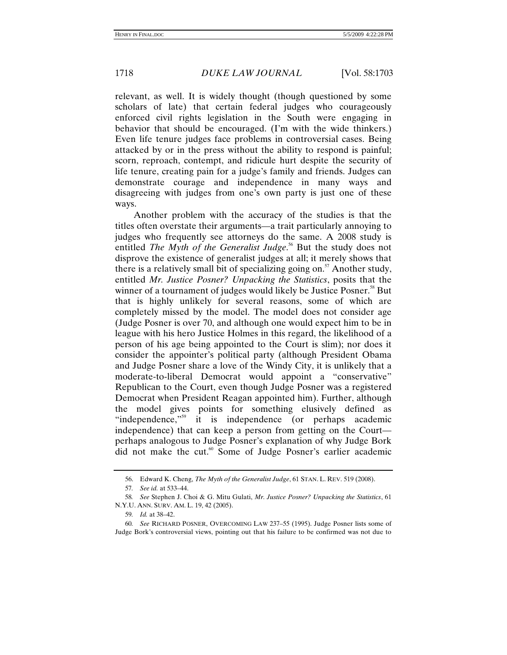relevant, as well. It is widely thought (though questioned by some scholars of late) that certain federal judges who courageously enforced civil rights legislation in the South were engaging in behavior that should be encouraged. (I'm with the wide thinkers.) Even life tenure judges face problems in controversial cases. Being attacked by or in the press without the ability to respond is painful; scorn, reproach, contempt, and ridicule hurt despite the security of life tenure, creating pain for a judge's family and friends. Judges can demonstrate courage and independence in many ways and disagreeing with judges from one's own party is just one of these ways.

Another problem with the accuracy of the studies is that the titles often overstate their arguments—a trait particularly annoying to judges who frequently see attorneys do the same. A 2008 study is entitled *The Myth of the Generalist Judge*.<sup>56</sup> But the study does not disprove the existence of generalist judges at all; it merely shows that there is a relatively small bit of specializing going on. $57$  Another study, entitled *Mr. Justice Posner? Unpacking the Statistics*, posits that the winner of a tournament of judges would likely be Justice Posner.<sup>58</sup> But that is highly unlikely for several reasons, some of which are completely missed by the model. The model does not consider age (Judge Posner is over 70, and although one would expect him to be in league with his hero Justice Holmes in this regard, the likelihood of a person of his age being appointed to the Court is slim); nor does it consider the appointer's political party (although President Obama and Judge Posner share a love of the Windy City, it is unlikely that a moderate-to-liberal Democrat would appoint a "conservative" Republican to the Court, even though Judge Posner was a registered Democrat when President Reagan appointed him). Further, although the model gives points for something elusively defined as "independence,"<sup>59</sup> it is independence (or perhaps academic independence) that can keep a person from getting on the Court perhaps analogous to Judge Posner's explanation of why Judge Bork did not make the cut.<sup>60</sup> Some of Judge Posner's earlier academic

 <sup>56.</sup> Edward K. Cheng, *The Myth of the Generalist Judge*, 61 STAN. L. REV. 519 (2008).

<sup>57</sup>*. See id.* at 533–44.

<sup>58</sup>*. See* Stephen J. Choi & G. Mitu Gulati, *Mr. Justice Posner? Unpacking the Statistics*, 61 N.Y.U. ANN. SURV. AM. L. 19, 42 (2005).

<sup>59</sup>*. Id.* at 38–42.

<sup>60</sup>*. See* RICHARD POSNER, OVERCOMING LAW 237–55 (1995). Judge Posner lists some of Judge Bork's controversial views, pointing out that his failure to be confirmed was not due to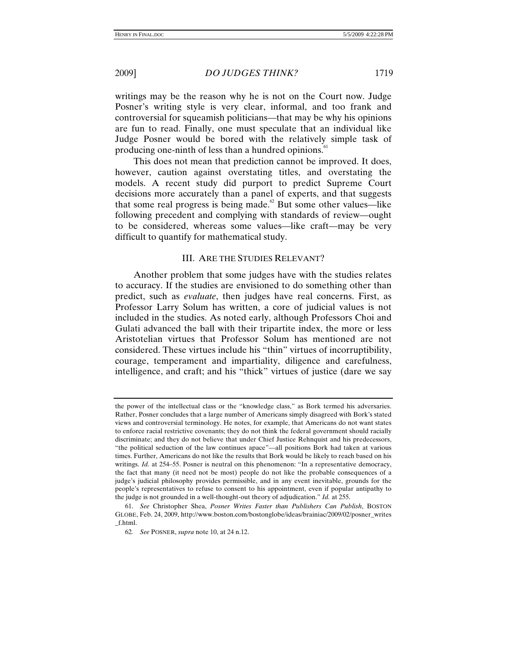writings may be the reason why he is not on the Court now. Judge Posner's writing style is very clear, informal, and too frank and controversial for squeamish politicians—that may be why his opinions are fun to read. Finally, one must speculate that an individual like Judge Posner would be bored with the relatively simple task of producing one-ninth of less than a hundred opinions.<sup>61</sup>

This does not mean that prediction cannot be improved. It does, however, caution against overstating titles, and overstating the models. A recent study did purport to predict Supreme Court decisions more accurately than a panel of experts, and that suggests that some real progress is being made. $62$  But some other values—like following precedent and complying with standards of review—ought to be considered, whereas some values—like craft—may be very difficult to quantify for mathematical study.

# III. ARE THE STUDIES RELEVANT?

Another problem that some judges have with the studies relates to accuracy. If the studies are envisioned to do something other than predict, such as *evaluate*, then judges have real concerns. First, as Professor Larry Solum has written, a core of judicial values is not included in the studies. As noted early, although Professors Choi and Gulati advanced the ball with their tripartite index, the more or less Aristotelian virtues that Professor Solum has mentioned are not considered. These virtues include his "thin" virtues of incorruptibility, courage, temperament and impartiality, diligence and carefulness, intelligence, and craft; and his "thick" virtues of justice (dare we say

the power of the intellectual class or the "knowledge class," as Bork termed his adversaries. Rather, Posner concludes that a large number of Americans simply disagreed with Bork's stated views and controversial terminology. He notes, for example, that Americans do not want states to enforce racial restrictive covenants; they do not think the federal government should racially discriminate; and they do not believe that under Chief Justice Rehnquist and his predecessors, "the political seduction of the law continues apace"—all positions Bork had taken at various times. Further, Americans do not like the results that Bork would be likely to reach based on his writings. *Id.* at 254–55. Posner is neutral on this phenomenon: "In a representative democracy, the fact that many (it need not be most) people do not like the probable consequences of a judge's judicial philosophy provides permissible, and in any event inevitable, grounds for the people's representatives to refuse to consent to his appointment, even if popular antipathy to the judge is not grounded in a well-thought-out theory of adjudication." *Id.* at 255.

 <sup>61.</sup> *See* Christopher Shea, *Posner Writes Faster than Publishers Can Publish*, BOSTON GLOBE, Feb. 24, 2009, http://www.boston.com/bostonglobe/ideas/brainiac/2009/02/posner\_writes \_f.html.

<sup>62</sup>*. See* POSNER, *supra* note 10, at 24 n.12.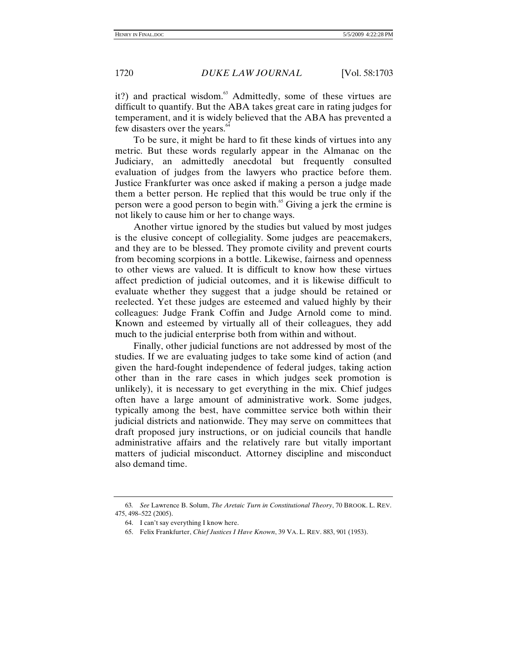it?) and practical wisdom.<sup>63</sup> Admittedly, some of these virtues are difficult to quantify. But the ABA takes great care in rating judges for temperament, and it is widely believed that the ABA has prevented a few disasters over the years.<sup>64</sup>

To be sure, it might be hard to fit these kinds of virtues into any metric. But these words regularly appear in the Almanac on the Judiciary, an admittedly anecdotal but frequently consulted evaluation of judges from the lawyers who practice before them. Justice Frankfurter was once asked if making a person a judge made them a better person. He replied that this would be true only if the person were a good person to begin with.<sup>65</sup> Giving a jerk the ermine is not likely to cause him or her to change ways.

Another virtue ignored by the studies but valued by most judges is the elusive concept of collegiality. Some judges are peacemakers, and they are to be blessed. They promote civility and prevent courts from becoming scorpions in a bottle. Likewise, fairness and openness to other views are valued. It is difficult to know how these virtues affect prediction of judicial outcomes, and it is likewise difficult to evaluate whether they suggest that a judge should be retained or reelected. Yet these judges are esteemed and valued highly by their colleagues: Judge Frank Coffin and Judge Arnold come to mind. Known and esteemed by virtually all of their colleagues, they add much to the judicial enterprise both from within and without.

Finally, other judicial functions are not addressed by most of the studies. If we are evaluating judges to take some kind of action (and given the hard-fought independence of federal judges, taking action other than in the rare cases in which judges seek promotion is unlikely), it is necessary to get everything in the mix. Chief judges often have a large amount of administrative work. Some judges, typically among the best, have committee service both within their judicial districts and nationwide. They may serve on committees that draft proposed jury instructions, or on judicial councils that handle administrative affairs and the relatively rare but vitally important matters of judicial misconduct. Attorney discipline and misconduct also demand time.

<sup>63</sup>*. See* Lawrence B. Solum, *The Aretaic Turn in Constitutional Theory*, 70 BROOK. L. REV. 475, 498–522 (2005).

 <sup>64.</sup> I can't say everything I know here.

 <sup>65.</sup> Felix Frankfurter, *Chief Justices I Have Known*, 39 VA. L. REV. 883, 901 (1953).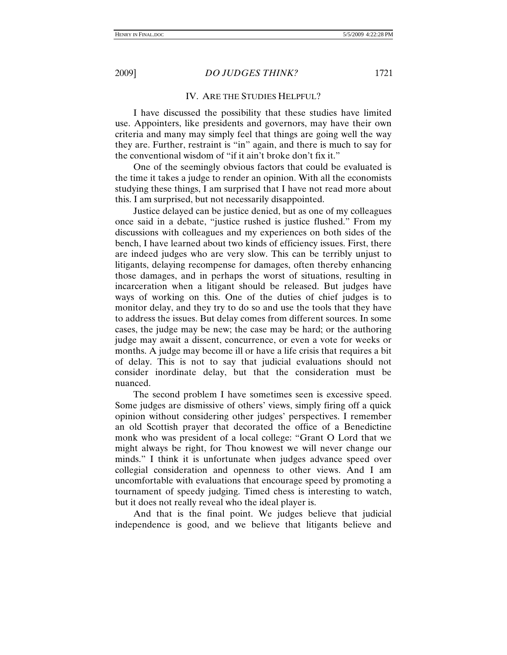# IV. ARE THE STUDIES HELPFUL?

I have discussed the possibility that these studies have limited use. Appointers, like presidents and governors, may have their own criteria and many may simply feel that things are going well the way they are. Further, restraint is "in" again, and there is much to say for the conventional wisdom of "if it ain't broke don't fix it."

One of the seemingly obvious factors that could be evaluated is the time it takes a judge to render an opinion. With all the economists studying these things, I am surprised that I have not read more about this. I am surprised, but not necessarily disappointed.

Justice delayed can be justice denied, but as one of my colleagues once said in a debate, "justice rushed is justice flushed." From my discussions with colleagues and my experiences on both sides of the bench, I have learned about two kinds of efficiency issues. First, there are indeed judges who are very slow. This can be terribly unjust to litigants, delaying recompense for damages, often thereby enhancing those damages, and in perhaps the worst of situations, resulting in incarceration when a litigant should be released. But judges have ways of working on this. One of the duties of chief judges is to monitor delay, and they try to do so and use the tools that they have to address the issues. But delay comes from different sources. In some cases, the judge may be new; the case may be hard; or the authoring judge may await a dissent, concurrence, or even a vote for weeks or months. A judge may become ill or have a life crisis that requires a bit of delay. This is not to say that judicial evaluations should not consider inordinate delay, but that the consideration must be nuanced.

The second problem I have sometimes seen is excessive speed. Some judges are dismissive of others' views, simply firing off a quick opinion without considering other judges' perspectives. I remember an old Scottish prayer that decorated the office of a Benedictine monk who was president of a local college: "Grant O Lord that we might always be right, for Thou knowest we will never change our minds." I think it is unfortunate when judges advance speed over collegial consideration and openness to other views. And I am uncomfortable with evaluations that encourage speed by promoting a tournament of speedy judging. Timed chess is interesting to watch, but it does not really reveal who the ideal player is.

And that is the final point. We judges believe that judicial independence is good, and we believe that litigants believe and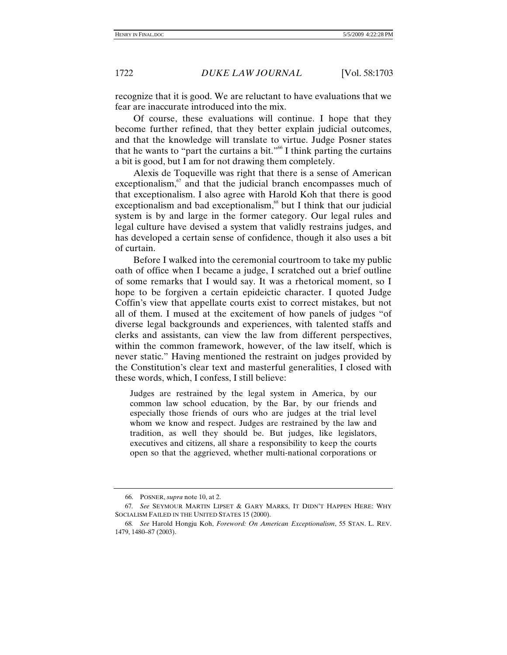recognize that it is good. We are reluctant to have evaluations that we fear are inaccurate introduced into the mix.

Of course, these evaluations will continue. I hope that they become further refined, that they better explain judicial outcomes, and that the knowledge will translate to virtue. Judge Posner states that he wants to "part the curtains a bit."<sup>66</sup> I think parting the curtains a bit is good, but I am for not drawing them completely.

Alexis de Toqueville was right that there is a sense of American exceptionalism, $\frac{67}{10}$  and that the judicial branch encompasses much of that exceptionalism. I also agree with Harold Koh that there is good exceptionalism and bad exceptionalism, $\frac{8}{3}$  but I think that our judicial system is by and large in the former category. Our legal rules and legal culture have devised a system that validly restrains judges, and has developed a certain sense of confidence, though it also uses a bit of curtain.

Before I walked into the ceremonial courtroom to take my public oath of office when I became a judge, I scratched out a brief outline of some remarks that I would say. It was a rhetorical moment, so I hope to be forgiven a certain epideictic character. I quoted Judge Coffin's view that appellate courts exist to correct mistakes, but not all of them. I mused at the excitement of how panels of judges "of diverse legal backgrounds and experiences, with talented staffs and clerks and assistants, can view the law from different perspectives, within the common framework, however, of the law itself, which is never static." Having mentioned the restraint on judges provided by the Constitution's clear text and masterful generalities, I closed with these words, which, I confess, I still believe:

Judges are restrained by the legal system in America, by our common law school education, by the Bar, by our friends and especially those friends of ours who are judges at the trial level whom we know and respect. Judges are restrained by the law and tradition, as well they should be. But judges, like legislators, executives and citizens, all share a responsibility to keep the courts open so that the aggrieved, whether multi-national corporations or

 <sup>66.</sup> POSNER, *supra* note 10, at 2.

<sup>67</sup>*. See* SEYMOUR MARTIN LIPSET & GARY MARKS, IT DIDN'T HAPPEN HERE: WHY SOCIALISM FAILED IN THE UNITED STATES 15 (2000).

<sup>68</sup>*. See* Harold Hongju Koh, *Foreword: On American Exceptionalism*, 55 STAN. L. REV. 1479, 1480–87 (2003).